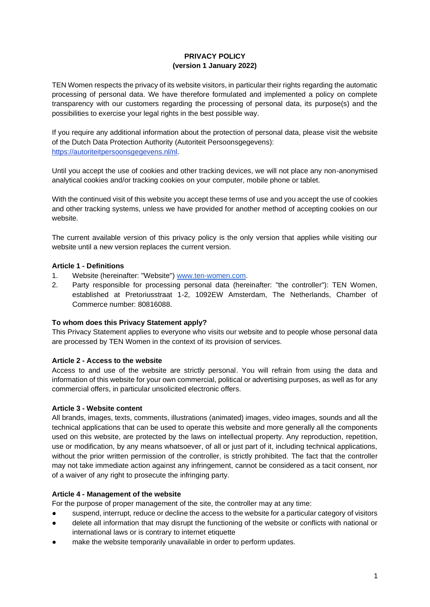## **PRIVACY POLICY (version 1 January 2022)**

TEN Women respects the privacy of its website visitors, in particular their rights regarding the automatic processing of personal data. We have therefore formulated and implemented a policy on complete transparency with our customers regarding the processing of personal data, its purpose(s) and the possibilities to exercise your legal rights in the best possible way.

If you require any additional information about the protection of personal data, please visit the website of the Dutch Data Protection Authority (Autoriteit Persoonsgegevens)[:](https://autoriteitpersoonsgegevens.nl/nl) [https://autoriteitpersoonsgegevens.nl/nl.](https://autoriteitpersoonsgegevens.nl/nl)

Until you accept the use of cookies and other tracking devices, we will not place any non-anonymised analytical cookies and/or tracking cookies on your computer, mobile phone or tablet.

With the continued visit of this website you accept these terms of use and you accept the use of cookies and other tracking systems, unless we have provided for another method of accepting cookies on our website.

The current available version of this privacy policy is the only version that applies while visiting our website until a new version replaces the current version.

## **Article 1 - Definitions**

- 1. Website (hereinafter: "Website"[\)](http://www.ten-women.com/) [www.ten-women.com.](http://www.ten-women.com/)
- 2. Party responsible for processing personal data (hereinafter: "the controller"): TEN Women, established at Pretoriusstraat 1-2, 1092EW Amsterdam, The Netherlands, Chamber of Commerce number: 80816088.

#### **To whom does this Privacy Statement apply?**

This Privacy Statement applies to everyone who visits our website and to people whose personal data are processed by TEN Women in the context of its provision of services.

#### **Article 2 - Access to the website**

Access to and use of the website are strictly personal. You will refrain from using the data and information of this website for your own commercial, political or advertising purposes, as well as for any commercial offers, in particular unsolicited electronic offers.

#### **Article 3 - Website content**

All brands, images, texts, comments, illustrations (animated) images, video images, sounds and all the technical applications that can be used to operate this website and more generally all the components used on this website, are protected by the laws on intellectual property. Any reproduction, repetition, use or modification, by any means whatsoever, of all or just part of it, including technical applications, without the prior written permission of the controller, is strictly prohibited. The fact that the controller may not take immediate action against any infringement, cannot be considered as a tacit consent, nor of a waiver of any right to prosecute the infringing party.

#### **Article 4 - Management of the website**

For the purpose of proper management of the site, the controller may at any time:

- suspend, interrupt, reduce or decline the access to the website for a particular category of visitors
- delete all information that may disrupt the functioning of the website or conflicts with national or international laws or is contrary to internet etiquette
- make the website temporarily unavailable in order to perform updates.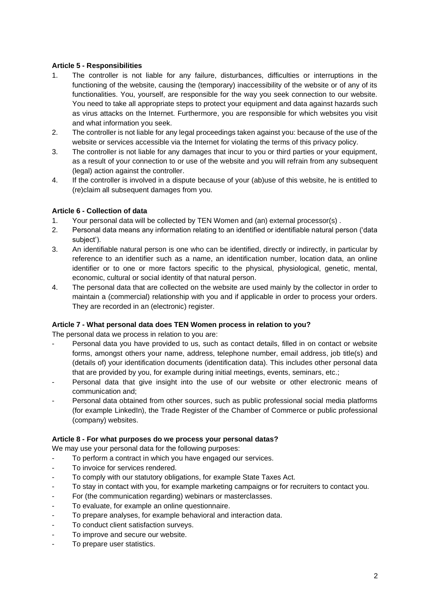## **Article 5 - Responsibilities**

- 1. The controller is not liable for any failure, disturbances, difficulties or interruptions in the functioning of the website, causing the (temporary) inaccessibility of the website or of any of its functionalities. You, yourself, are responsible for the way you seek connection to our website. You need to take all appropriate steps to protect your equipment and data against hazards such as virus attacks on the Internet. Furthermore, you are responsible for which websites you visit and what information you seek.
- 2. The controller is not liable for any legal proceedings taken against you: because of the use of the website or services accessible via the Internet for violating the terms of this privacy policy.
- 3. The controller is not liable for any damages that incur to you or third parties or your equipment, as a result of your connection to or use of the website and you will refrain from any subsequent (legal) action against the controller.
- 4. If the controller is involved in a dispute because of your (ab)use of this website, he is entitled to (re)claim all subsequent damages from you.

## **Article 6 - Collection of data**

- 1. Your personal data will be collected by TEN Women and (an) external processor(s) .
- 2. Personal data means any information relating to an identified or identifiable natural person ('data subject').
- 3. An identifiable natural person is one who can be identified, directly or indirectly, in particular by reference to an identifier such as a name, an identification number, location data, an online identifier or to one or more factors specific to the physical, physiological, genetic, mental, economic, cultural or social identity of that natural person.
- 4. The personal data that are collected on the website are used mainly by the collector in order to maintain a (commercial) relationship with you and if applicable in order to process your orders. They are recorded in an (electronic) register.

#### **Article 7 - What personal data does TEN Women process in relation to you?**

The personal data we process in relation to you are:

- Personal data you have provided to us, such as contact details, filled in on contact or website forms, amongst others your name, address, telephone number, email address, job title(s) and (details of) your identification documents (identification data). This includes other personal data that are provided by you, for example during initial meetings, events, seminars, etc.;
- Personal data that give insight into the use of our website or other electronic means of communication and;
- Personal data obtained from other sources, such as public professional social media platforms (for example LinkedIn), the Trade Register of the Chamber of Commerce or public professional (company) websites.

#### **Article 8 - For what purposes do we process your personal datas?**

We may use your personal data for the following purposes:

- To perform a contract in which you have engaged our services.
- To invoice for services rendered.
- To comply with our statutory obligations, for example State Taxes Act.
- To stay in contact with you, for example marketing campaigns or for recruiters to contact you.
- For (the communication regarding) webinars or masterclasses.
- To evaluate, for example an online questionnaire.
- To prepare analyses, for example behavioral and interaction data.
- To conduct client satisfaction surveys.
- To improve and secure our website.
- To prepare user statistics.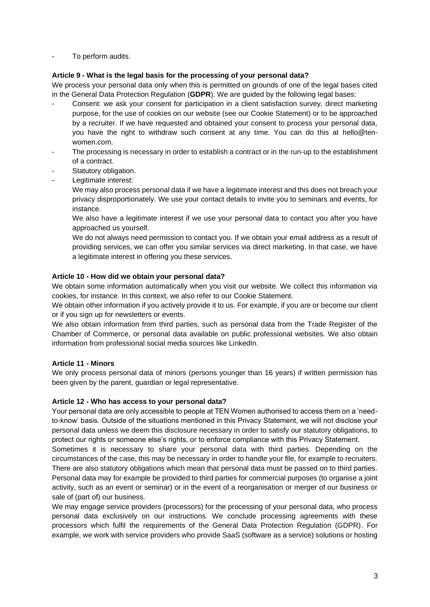To perform audits.

## **Article 9 - What is the legal basis for the processing of your personal data?**

We process your personal data only when this is permitted on grounds of one of the legal bases cited in the General Data Protection Regulation (**GDPR**). We are guided by the following legal bases:

- Consent: we ask your consent for participation in a client satisfaction survey, direct marketing purpose, for the use of cookies on our website (see our Cookie Statement) or to be approached by a recruiter. If we have requested and obtained your consent to process your personal data, you have the right to withdraw such consent at any time. You can do this at [hello@ten](mailto:hello@ten-women.com)[women.com.](mailto:hello@ten-women.com)
- The processing is necessary in order to establish a contract or in the run-up to the establishment of a contract.
- Statutory obligation.
- Legitimate interest:

We may also process personal data if we have a legitimate interest and this does not breach your privacy disproportionately. We use your contact details to invite you to seminars and events, for instance.

We also have a legitimate interest if we use your personal data to contact you after you have approached us yourself.

We do not always need permission to contact you. If we obtain your email address as a result of providing services, we can offer you similar services via direct marketing. In that case, we have a legitimate interest in offering you these services.

## **Article 10 - How did we obtain your personal data?**

We obtain some information automatically when you visit our website. We collect this information via cookies, for instance. In this context, we also refer to our Cookie Statement.

We obtain other information if you actively provide it to us. For example, if you are or become our client or if you sign up for newsletters or events.

We also obtain information from third parties, such as personal data from the Trade Register of the Chamber of Commerce, or personal data available on public professional websites. We also obtain information from professional social media sources like LinkedIn.

## **Article 11 - Minors**

We only process personal data of minors (persons younger than 16 years) if written permission has been given by the parent, guardian or legal representative.

#### **Article 12 - Who has access to your personal data?**

Your personal data are only accessible to people at TEN Women authorised to access them on a 'needto-know' basis. Outside of the situations mentioned in this Privacy Statement, we will not disclose your personal data unless we deem this disclosure necessary in order to satisfy our statutory obligations, to protect our rights or someone else's rights, or to enforce compliance with this Privacy Statement.

Sometimes it is necessary to share your personal data with third parties. Depending on the circumstances of the case, this may be necessary in order to handle your file, for example to recruiters. There are also statutory obligations which mean that personal data must be passed on to third parties. Personal data may for example be provided to third parties for commercial purposes (to organise a joint activity, such as an event or seminar) or in the event of a reorganisation or merger of our business or sale of (part of) our business.

We may engage service providers (processors) for the processing of your personal data, who process personal data exclusively on our instructions. We conclude processing agreements with these processors which fulfil the requirements of the General Data Protection Regulation (GDPR). For example, we work with service providers who provide SaaS (software as a service) solutions or hosting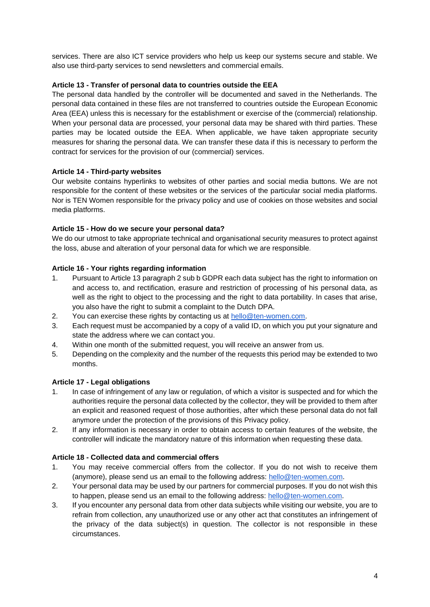services. There are also ICT service providers who help us keep our systems secure and stable. We also use third-party services to send newsletters and commercial emails.

## **Article 13 - Transfer of personal data to countries outside the EEA**

The personal data handled by the controller will be documented and saved in the Netherlands. The personal data contained in these files are not transferred to countries outside the European Economic Area (EEA) unless this is necessary for the establishment or exercise of the (commercial) relationship. When your personal data are processed, your personal data may be shared with third parties. These parties may be located outside the EEA. When applicable, we have taken appropriate security measures for sharing the personal data. We can transfer these data if this is necessary to perform the contract for services for the provision of our (commercial) services.

## **Article 14 - Third-party websites**

Our website contains hyperlinks to websites of other parties and social media buttons. We are not responsible for the content of these websites or the services of the particular social media platforms. Nor is TEN Women responsible for the privacy policy and use of cookies on those websites and social media platforms.

#### **Article 15 - How do we secure your personal data?**

We do our utmost to take appropriate technical and organisational security measures to protect against the loss, abuse and alteration of your personal data for which we are responsible*.*

## **Article 16 - Your rights regarding information**

- 1. Pursuant to Article 13 paragraph 2 sub b GDPR each data subject has the right to information on and access to, and rectification, erasure and restriction of processing of his personal data, as well as the right to object to the processing and the right to data portability. In cases that arise, you also have the right to submit a complaint to the Dutch DPA.
- 2. You can exercise these rights by contacting us at [hello@ten-women.com.](mailto:hello@ten-women.com)
- 3. Each request must be accompanied by a copy of a valid ID, on which you put your signature and state the address where we can contact you.
- 4. Within one month of the submitted request, you will receive an answer from us.
- 5. Depending on the complexity and the number of the requests this period may be extended to two months.

#### **Article 17 - Legal obligations**

- 1. In case of infringement of any law or regulation, of which a visitor is suspected and for which the authorities require the personal data collected by the collector, they will be provided to them after an explicit and reasoned request of those authorities, after which these personal data do not fall anymore under the protection of the provisions of this Privacy policy.
- 2. If any information is necessary in order to obtain access to certain features of the website, the controller will indicate the mandatory nature of this information when requesting these data.

#### **Article 18 - Collected data and commercial offers**

- 1. You may receive commercial offers from the collector. If you do not wish to receive them (anymore), please send us an email to the following address: [hello@ten-women.com.](mailto:hello@ten-women.com)
- 2. Your personal data may be used by our partners for commercial purposes. If you do not wish this to happen, please send us an email to the following address: [hello@ten-women.com.](mailto:hello@ten-women.com)
- 3. If you encounter any personal data from other data subjects while visiting our website, you are to refrain from collection, any unauthorized use or any other act that constitutes an infringement of the privacy of the data subject(s) in question. The collector is not responsible in these circumstances.